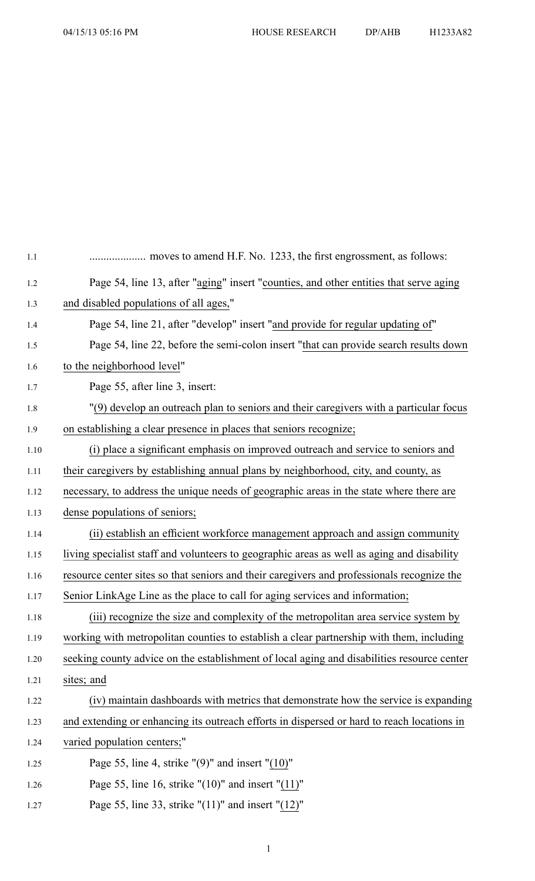| 1.1  |                                                                                            |
|------|--------------------------------------------------------------------------------------------|
| 1.2  | Page 54, line 13, after "aging" insert "counties, and other entities that serve aging      |
| 1.3  | and disabled populations of all ages,"                                                     |
| 1.4  | Page 54, line 21, after "develop" insert "and provide for regular updating of"             |
| 1.5  | Page 54, line 22, before the semi-colon insert "that can provide search results down       |
| 1.6  | to the neighborhood level"                                                                 |
| 1.7  | Page 55, after line 3, insert:                                                             |
| 1.8  | "(9) develop an outreach plan to seniors and their caregivers with a particular focus      |
| 1.9  | on establishing a clear presence in places that seniors recognize;                         |
| 1.10 | (i) place a significant emphasis on improved outreach and service to seniors and           |
| 1.11 | their caregivers by establishing annual plans by neighborhood, city, and county, as        |
| 1.12 | necessary, to address the unique needs of geographic areas in the state where there are    |
| 1.13 | dense populations of seniors;                                                              |
| 1.14 | (ii) establish an efficient workforce management approach and assign community             |
| 1.15 | living specialist staff and volunteers to geographic areas as well as aging and disability |
| 1.16 | resource center sites so that seniors and their caregivers and professionals recognize the |
| 1.17 | Senior LinkAge Line as the place to call for aging services and information;               |
| 1.18 | (iii) recognize the size and complexity of the metropolitan area service system by         |
| 1.19 | working with metropolitan counties to establish a clear partnership with them, including   |
| 1.20 | seeking county advice on the establishment of local aging and disabilities resource center |
| 1.21 | sites; and                                                                                 |
| 1.22 | (iv) maintain dashboards with metrics that demonstrate how the service is expanding        |
| 1.23 | and extending or enhancing its outreach efforts in dispersed or hard to reach locations in |
| 1.24 | varied population centers;"                                                                |
| 1.25 | Page 55, line 4, strike " $(9)$ " and insert " $(10)$ "                                    |
| 1.26 | Page 55, line 16, strike " $(10)$ " and insert " $(11)$ "                                  |
| 1.27 | Page 55, line 33, strike " $(11)$ " and insert " $(12)$ "                                  |

1